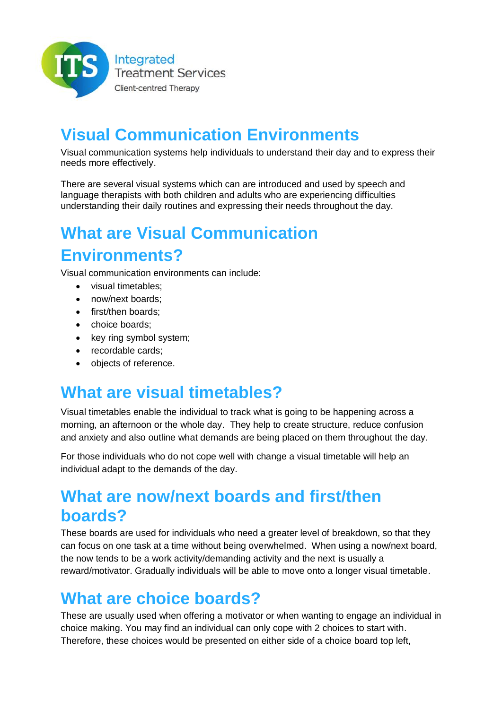

# **Visual Communication Environments**

Visual communication systems help individuals to understand their day and to express their needs more effectively.

There are several visual systems which can are introduced and used by speech and language therapists with both children and adults who are experiencing difficulties understanding their daily routines and expressing their needs throughout the day.

## **What are Visual Communication Environments?**

Visual communication environments can include:

- visual timetables:
- now/next boards;
- first/then boards:
- choice boards:
- key ring symbol system;
- recordable cards:
- objects of reference.

### **What are visual timetables?**

Visual timetables enable the individual to track what is going to be happening across a morning, an afternoon or the whole day. They help to create structure, reduce confusion and anxiety and also outline what demands are being placed on them throughout the day.

For those individuals who do not cope well with change a visual timetable will help an individual adapt to the demands of the day.

### **What are now/next boards and first/then boards?**

These boards are used for individuals who need a greater level of breakdown, so that they can focus on one task at a time without being overwhelmed. When using a now/next board, the now tends to be a work activity/demanding activity and the next is usually a reward/motivator. Gradually individuals will be able to move onto a longer visual timetable.

### **What are choice boards?**

These are usually used when offering a motivator or when wanting to engage an individual in choice making. You may find an individual can only cope with 2 choices to start with. Therefore, these choices would be presented on either side of a choice board top left,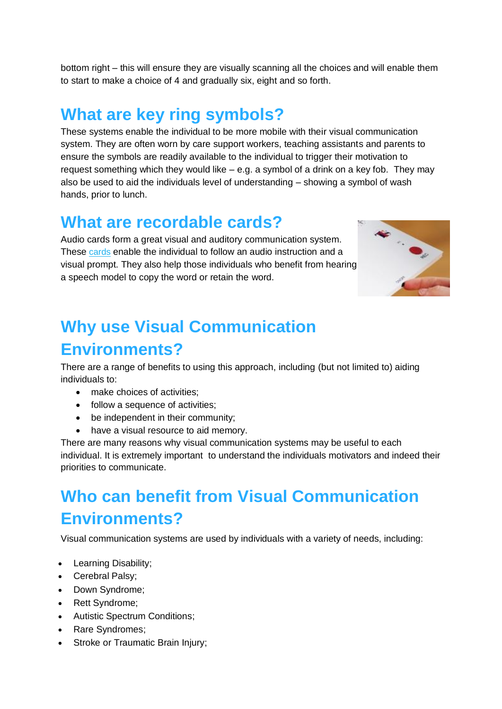bottom right – this will ensure they are visually scanning all the choices and will enable them to start to make a choice of 4 and gradually six, eight and so forth.

### **What are key ring symbols?**

These systems enable the individual to be more mobile with their visual communication system. They are often worn by care support workers, teaching assistants and parents to ensure the symbols are readily available to the individual to trigger their motivation to request something which they would like – e.g. a symbol of a drink on a key fob. They may also be used to aid the individuals level of understanding – showing a symbol of wash hands, prior to lunch.

#### **What are recordable cards?**

Audio cards form a great visual and auditory communication system. These [cards](http://www.specialdirect.com/shops/sd/Products/PD1727047/Talk-Time-Postcards-A6-10-Second/) enable the individual to follow an audio instruction and a visual prompt. They also help those individuals who benefit from hearing a speech model to copy the word or retain the word.



## **Why use Visual Communication Environments?**

There are a range of benefits to using this approach, including (but not limited to) aiding individuals to:

- make choices of activities;
- follow a sequence of activities;
- be independent in their community;
- have a visual resource to aid memory.

There are many reasons why visual communication systems may be useful to each individual. It is extremely important to understand the individuals motivators and indeed their priorities to communicate.

## **Who can benefit from Visual Communication Environments?**

Visual communication systems are used by individuals with a variety of needs, including:

- Learning Disability;
- Cerebral Palsy;
- Down Syndrome;
- Rett Syndrome;
- Autistic Spectrum Conditions;
- Rare Syndromes;
- Stroke or Traumatic Brain Injury;